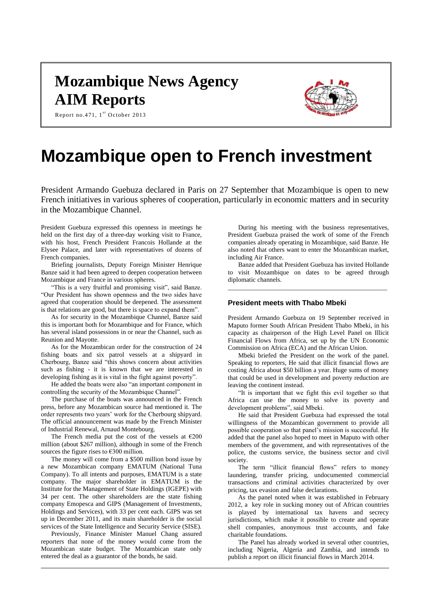## **Mozambique News Agency AIM Reports**



Report no.471,  $1^{\text{st}}$  October 2013

# **Mozambique open to French investment**

President Armando Guebuza declared in Paris on 27 September that Mozambique is open to new French initiatives in various spheres of cooperation, particularly in economic matters and in security in the Mozambique Channel.

President Guebuza expressed this openness in meetings he held on the first day of a three-day working visit to France, with his host, French President Francois Hollande at the Elysee Palace, and later with representatives of dozens of French companies.

Briefing journalists, Deputy Foreign Minister Henrique Banze said it had been agreed to deepen cooperation between Mozambique and France in various spheres.

"This is a very fruitful and promising visit", said Banze. "Our President has shown openness and the two sides have agreed that cooperation should be deepened. The assessment is that relations are good, but there is space to expand them".

As for security in the Mozambique Channel, Banze said this is important both for Mozambique and for France, which has several island possessions in or near the Channel, such as Reunion and Mayotte.

As for the Mozambican order for the construction of 24 fishing boats and six patrol vessels at a shipyard in Cherbourg, Banze said "this shows concern about activities such as fishing - it is known that we are interested in developing fishing as it is vital in the fight against poverty".

He added the boats were also "an important component in controlling the security of the Mozambique Channel".

The purchase of the boats was announced in the French press, before any Mozambican source had mentioned it. The order represents two years' work for the Cherbourg shipyard. The official announcement was made by the French Minister of Industrial Renewal, Arnaud Montebourg.

The French media put the cost of the vessels at  $\epsilon$ 200 million (about \$267 million), although in some of the French sources the figure rises to  $€300$  million.

The money will come from a \$500 million bond issue by a new Mozambican company EMATUM (National Tuna Company). To all intents and purposes, EMATUM is a state company. The major shareholder in EMATUM is the Institute for the Management of State Holdings (IGEPE) with 34 per cent. The other shareholders are the state fishing company Emopesca and GIPS (Management of Investments, Holdings and Services), with 33 per cent each. GIPS was set up in December 2011, and its main shareholder is the social services of the State Intelligence and Security Service (SISE).

Previously, Finance Minister Manuel Chang assured reporters that none of the money would come from the Mozambican state budget. The Mozambican state only entered the deal as a guarantor of the bonds, he said.

During his meeting with the business representatives, President Guebuza praised the work of some of the French companies already operating in Mozambique, said Banze. He also noted that others want to enter the Mozambican market, including Air France.

Banze added that President Guebuza has invited Hollande to visit Mozambique on dates to be agreed through diplomatic channels.

\_\_\_\_\_\_\_\_\_\_\_\_\_\_\_\_\_\_\_\_\_\_\_\_\_\_\_\_\_\_\_\_\_\_\_\_\_\_\_\_\_\_\_\_\_\_\_\_\_

#### **President meets with Thabo Mbeki**

President Armando Guebuza on 19 September received in Maputo former South African President Thabo Mbeki, in his capacity as chairperson of the High Level Panel on Illicit Financial Flows from Africa, set up by the UN Economic Commission on Africa (ECA) and the African Union.

Mbeki briefed the President on the work of the panel. Speaking to reporters, He said that illicit financial flows are costing Africa about \$50 billion a year. Huge sums of money that could be used in development and poverty reduction are leaving the continent instead.

"It is important that we fight this evil together so that Africa can use the money to solve its poverty and development problems", said Mbeki.

He said that President Guebuza had expressed the total willingness of the Mozambican government to provide all possible cooperation so that panel's mission is successful. He added that the panel also hoped to meet in Maputo with other members of the government, and with representatives of the police, the customs service, the business sector and civil society.

The term "illicit financial flows" refers to money laundering, transfer pricing, undocumented commercial transactions and criminal activities characterized by over pricing, tax evasion and false declarations.

As the panel noted when it was established in February 2012, a key role in sucking money out of African countries is played by international tax havens and secrecy jurisdictions, which make it possible to create and operate shell companies, anonymous trust accounts, and fake charitable foundations.

The Panel has already worked in several other countries, including Nigeria, Algeria and Zambia, and intends to publish a report on illicit financial flows in March 2014.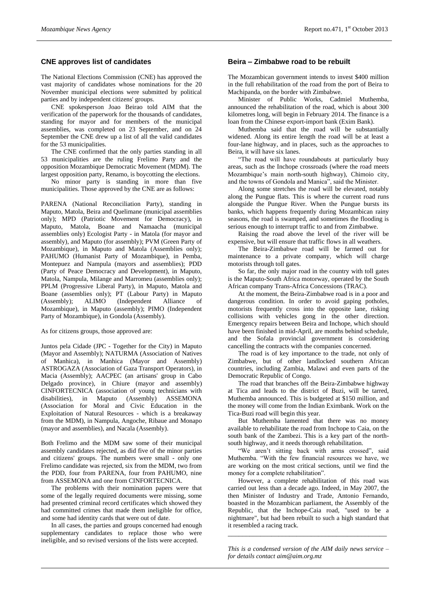## **CNE approves list of candidates**

The National Elections Commission (CNE) has approved the vast majority of candidates whose nominations for the 20 November municipal elections were submitted by political parties and by independent citizens' groups.

CNE spokesperson Joao Beirao told AIM that the verification of the paperwork for the thousands of candidates, standing for mayor and for members of the municipal assemblies, was completed on 23 September, and on 24 September the CNE drew up a list of all the valid candidates for the 53 municipalities.

The CNE confirmed that the only parties standing in all 53 municipalities are the ruling Frelimo Party and the opposition Mozambique Democratic Movement (MDM). The largest opposition party, Renamo, is boycotting the elections.

No minor party is standing in more than five municipalities. Those approved by the CNE are as follows:

PARENA (National Reconciliation Party), standing in Maputo, Matola, Beira and Quelimane (municipal assemblies only); MPD (Patriotic Movement for Democracy), in Maputo, Matola, Boane and Namaacha (municipal assemblies only) Ecologist Party - in Matola (for mayor and assembly), and Maputo (for assembly); PVM (Green Party of Mozambique), in Maputo and Matola (Assemblies only); PAHUMO (Humanist Party of Mozambique), in Pemba, Montepuez and Nampula (mayors and assemblies); PDD (Party of Peace Democracy and Development), in Maputo, Matola, Nampula, Milange and Marromeu (assemblies only); PPLM (Progressive Liberal Party), in Maputo, Matola and Boane (assemblies only); PT (Labour Party) in Maputo (Assembly); ALIMO (Independent Alliance of (Assembly); ALIMO (Independent Alliance of Mozambique), in Maputo (assembly); PIMO (Independent Party of Mozambique), in Gondola (Assembly).

#### As for citizens groups, those approved are:

Juntos pela Cidade (JPC - Together for the City) in Maputo (Mayor and Assembly); NATURMA (Association of Natives of Manhica), in Manhica (Mayor and Assembly) ASTROGAZA (Association of Gaza Transport Operators), in Macia (Assembly); AACPEC (an artisans' group in Cabo Delgado province), in Chiure (mayor and assembly) CINFORTECNICA (association of young technicians with disabilities), in Maputo (Assembly) ASSEMONA (Association for Moral and Civic Education in the Exploitation of Natural Resources - which is a breakaway from the MDM), in Nampula, Angoche, Ribaue and Monapo (mayor and assemblies), and Nacala (Assembly).

Both Frelimo and the MDM saw some of their municipal assembly candidates rejected, as did five of the minor parties and citizens' groups. The numbers were small - only one Frelimo candidate was rejected, six from the MDM, two from the PDD, four from PARENA, four from PAHUMO, nine from ASSEMONA and one from CINFORTECNICA.

The problems with their nomination papers were that some of the legally required documents were missing, some had presented criminal record certificates which showed they had committed crimes that made them ineligible for office, and some had identity cards that were out of date.

In all cases, the parties and groups concerned had enough supplementary candidates to replace those who were ineligible, and so revised versions of the lists were accepted.

#### **Beira – Zimbabwe road to be rebuilt**

The Mozambican government intends to invest \$400 million in the full rehabilitation of the road from the port of Beira to Machipanda, on the border with Zimbabwe.

Minister of Public Works, Cadmiel Muthemba, announced the rehabilitation of the road, which is about 300 kilometres long, will begin in February 2014. The finance is a loan from the Chinese export-import bank (Exim Bank).

Muthemba said that the road will be substantially widened. Along its entire length the road will be at least a four-lane highway, and in places, such as the approaches to Beira, it will have six lanes.

"The road will have roundabouts at particularly busy areas, such as the Inchope crossroads (where the road meets Mozambique's main north-south highway), Chimoio city, and the towns of Gondola and Manica", said the Minister.

Along some stretches the road will be elevated, notably along the Pungue flats. This is where the current road runs alongside the Pungue River. When the Pungue bursts its banks, which happens frequently during Mozambican rainy seasons, the road is swamped, and sometimes the flooding is serious enough to interrupt traffic to and from Zimbabwe.

Raising the road above the level of the river will be expensive, but will ensure that traffic flows in all weathers.

The Beira-Zimbabwe road will be farmed out for maintenance to a private company, which will charge motorists through toll gates.

So far, the only major road in the country with toll gates is the Maputo-South Africa motorway, operated by the South African company Trans-Africa Concessions (TRAC).

At the moment, the Beira-Zimbabwe road is in a poor and dangerous condition. In order to avoid gaping potholes, motorists frequently cross into the opposite lane, risking collisions with vehicles gong in the other direction. Emergency repairs between Beira and Inchope, which should have been finished in mid-April, are months behind schedule, and the Sofala provincial government is considering cancelling the contracts with the companies concerned.

The road is of key importance to the trade, not only of Zimbabwe, but of other landlocked southern African countries, including Zambia, Malawi and even parts of the Democratic Republic of Congo.

The road that branches off the Beira-Zimbabwe highway at Tica and leads to the district of Buzi, will be tarred, Muthemba announced. This is budgeted at \$150 million, and the money will come from the Indian Eximbank. Work on the Tica-Buzi road will begin this year.

But Muthemba lamented that there was no money available to rehabilitate the road from Inchope to Caia, on the south bank of the Zambezi. This is a key part of the northsouth highway, and it needs thorough rehabilitation.

"We aren't sitting back with arms crossed", said Muthemba. "With the few financial resources we have, we are working on the most critical sections, until we find the money for a complete rehabilitation".

However, a complete rehabilitation of this road was carried out less than a decade ago. Indeed, in May 2007, the then Minister of Industry and Trade, Antonio Fernando, boasted in the Mozambican parliament, the Assembly of the Republic, that the Inchope-Caia road, "used to be a nightmare", but had been rebuilt to such a high standard that it resembled a racing track.

*This is a condensed version of the AIM daily news service – for details contac[t aim@aim.org.mz](mailto:aim@aim.org.mz)*

*\_\_\_\_\_\_\_\_\_\_\_\_\_\_\_\_\_\_\_\_\_\_\_\_\_\_\_\_\_\_\_\_\_\_\_\_\_\_\_\_\_\_\_\_*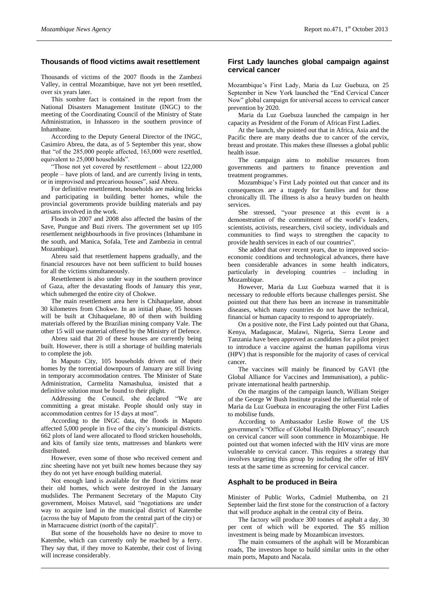## **Thousands of flood victims await resettlement**

Thousands of victims of the 2007 floods in the Zambezi Valley, in central Mozambique, have not yet been resettled, over six years later.

This sombre fact is contained in the report from the National Disasters Management Institute (INGC) to the meeting of the Coordinating Council of the Ministry of State Administration, in Inhassoro in the southern province of Inhambane.

According to the Deputy General Director of the INGC, Casimiro Abreu, the data, as of 5 September this year, show that "of the 285,000 people affected, 163,000 were resettled, equivalent to 25,000 households".

"Those not yet covered by resettlement – about 122,000 people – have plots of land, and are currently living in tents, or in improvised and precarious houses", said Abreu.

For definitive resettlement, households are making bricks and participating in building better homes, while the provincial governments provide building materials and pay artisans involved in the work.

Floods in 2007 and 2008 also affected the basins of the Save, Pungue and Buzi rivers. The government set up 105 resettlement neighbourhoods in five provinces (Inhambane in the south, and Manica, Sofala, Tete and Zambezia in central Mozambique).

Abreu said that resettlement happens gradually, and the financial resources have not been sufficient to build houses for all the victims simultaneously.

Resettlement is also under way in the southern province of Gaza, after the devastating floods of January this year, which submerged the entire city of Chokwe.

The main resettlement area here is Chihaquelane, about 30 kilometres from Chokwe. In an initial phase, 95 houses will be built at Chihaquelane, 80 of them with building materials offered by the Brazilian mining company Vale. The other 15 will use material offered by the Ministry of Defence.

Abreu said that 20 of these houses are currently being built. However, there is still a shortage of building materials to complete the job.

In Maputo City, 105 households driven out of their homes by the torrential downpours of January are still living in temporary accommodation centres. The Minister of State Administration, Carmelita Namashulua, insisted that a definitive solution must be found to their plight.

Addressing the Council, she declared "We are committing a great mistake. People should only stay in accommodation centres for 15 days at most".

According to the INGC data, the floods in Maputo affected 5,000 people in five of the city's municipal districts. 662 plots of land were allocated to flood stricken households, and kits of family size tents, mattresses and blankets were distributed.

However, even some of those who received cement and zinc sheeting have not yet built new homes because they say they do not yet have enough building material.

Not enough land is available for the flood victims near their old homes, which were destroyed in the January mudslides. The Permanent Secretary of the Maputo City government, Moises Matavel, said "negotiations are under way to acquire land in the municipal district of Katembe (across the bay of Maputo from the central part of the city) or in Marracuene district (north of the capital)".

But some of the households have no desire to move to Katembe, which can currently only be reached by a ferry. They say that, if they move to Katembe, their cost of living will increase considerably.

#### **First Lady launches global campaign against cervical cancer**

Mozambique's First Lady, Maria da Luz Guebuza, on 25 September in New York launched the "End Cervical Cancer Now" global campaign for universal access to cervical cancer prevention by 2020.

Maria da Luz Guebuza launched the campaign in her capacity as President of the Forum of African First Ladies.

At the launch, she pointed out that in Africa, Asia and the Pacific there are many deaths due to cancer of the cervix, breast and prostate. This makes these illnesses a global public health issue.

The campaign aims to mobilise resources from governments and partners to finance prevention and treatment programmes.

Mozambique's First Lady pointed out that cancer and its consequences are a tragedy for families and for those chronically ill. The illness is also a heavy burden on health services.

She stressed, "your presence at this event is a demonstration of the commitment of the world's leaders, scientists, activists, researchers, civil society, individuals and communities to find ways to strengthen the capacity to provide health services in each of our countries".

She added that over recent years, due to improved socioeconomic conditions and technological advances, there have been considerable advances in some health indicators, particularly in developing countries – including in Mozambique.

However, Maria da Luz Guebuza warned that it is necessary to redouble efforts because challenges persist. She pointed out that there has been an increase in transmittable diseases, which many countries do not have the technical, financial or human capacity to respond to appropriately.

On a positive note, the First Lady pointed out that Ghana, Kenya, Madagascar, Malawi, Nigeria, Sierra Leone and Tanzania have been approved as candidates for a pilot project to introduce a vaccine against the human papilloma virus (HPV) that is responsible for the majority of cases of cervical cancer.

The vaccines will mainly be financed by GAVI (the Global Alliance for Vaccines and Immunisation), a publicprivate international health partnership.

On the margins of the campaign launch, William Steiger of the George W Bush Institute praised the influential role of Maria da Luz Guebuza in encouraging the other First Ladies to mobilise funds.

According to Ambassador Leslie Rowe of the US government's "Office of Global Health Diplomacy", research on cervical cancer will soon commence in Mozambique. He pointed out that women infected with the HIV virus are more vulnerable to cervical cancer. This requires a strategy that involves targeting this group by including the offer of HIV tests at the same time as screening for cervical cancer.

#### **Asphalt to be produced in Beira**

Minister of Public Works, Cadmiel Muthemba, on 21 September laid the first stone for the construction of a factory that will produce asphalt in the central city of Beira.

The factory will produce 300 tonnes of asphalt a day, 30 per cent of which will be exported. The \$5 million investment is being made by Mozambican investors.

The main consumers of the asphalt will be Mozambican roads, The investors hope to build similar units in the other main ports, Maputo and Nacala.